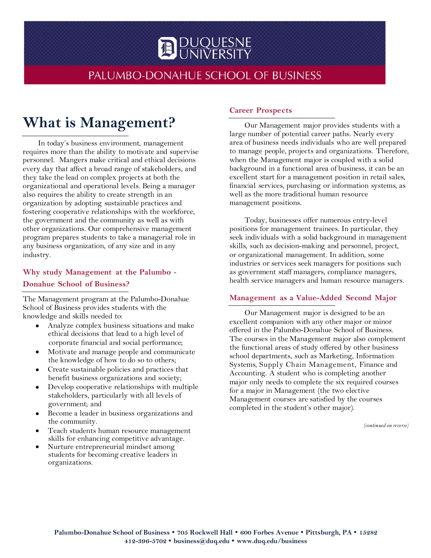

# PALUMBO-DONAHUE SCHOOL OF BUSINESS

# **What is Management?**

In today's business environment, management requires more than the ability to motivate and supervise personnel. Mangers make critical and ethical decisions every day that affect a broad range of stakeholders, and they take the lead on complex projects at both the organizational and operational levels. Being a manager also requires the ability to create strength in an organization by adopting sustainable practices and fostering cooperative relationships with the workforce, the government and the community as well as with other organizations. Our comprehensive management program prepares students to take a managerial role in any business organization, of any size and in any industry.

# **Why study Management at the Palumbo** - **Donahue School of Business?**

The Management program at the Palumbo-Donahue School of Business provides students with the knowledge and skills needed to:

- Analyze complex business situations and make ethical decisions that lead to a high level of corporate financial and social performance;
- Motivate and manage people and communicate the knowledge of how to do so to others;
- Create sustainable policies and practices that benefit business organizations and society;
- Develop cooperative relationships with multiple stakeholders, particularly with all levels of government; and
- Become a leader in business organizations and the community.
- Teach students human resource management skills for enhancing competitive advantage.
- Nurture entrepreneurial mindset among students for becoming creative leaders in organizations.

#### **Career Prospects**

Our Management major provides students with a large number of potential career paths. Nearly every area of business needs individuals who are well prepared to manage people, projects and organizations. Therefore, when the Management major is coupled with a solid background in a functional area of business, it can be an excellent start for a management position in retail sales, financial services, purchasing or information systems, as well as the more traditional human resource management positions.

Today, businesses offer numerous entry-level positions for management trainees. In particular, they seek individuals with a solid background in management skills, such as decision-making and personnel, project, or organizational management. In addition, some industries or services seek managers for positions such as government staff managers, compliance managers, health service managers and human resource managers.

#### **Management as a Value-Added Second Major**

Our Management major is designed to be an excellent companion with any other major or minor offered in the Palumbo-Donahue School of Business. The courses in the Management major also complement the functional areas of study offered by other business school departments, such as Marketing, Information Systems, Supply Chain Management, Finance and Accounting. A student who is completing another major only needs to complete the six required courses for a major in Management (the two elective Management courses are satisfied by the courses completed in the student's other major).

*(continued on reverse)*